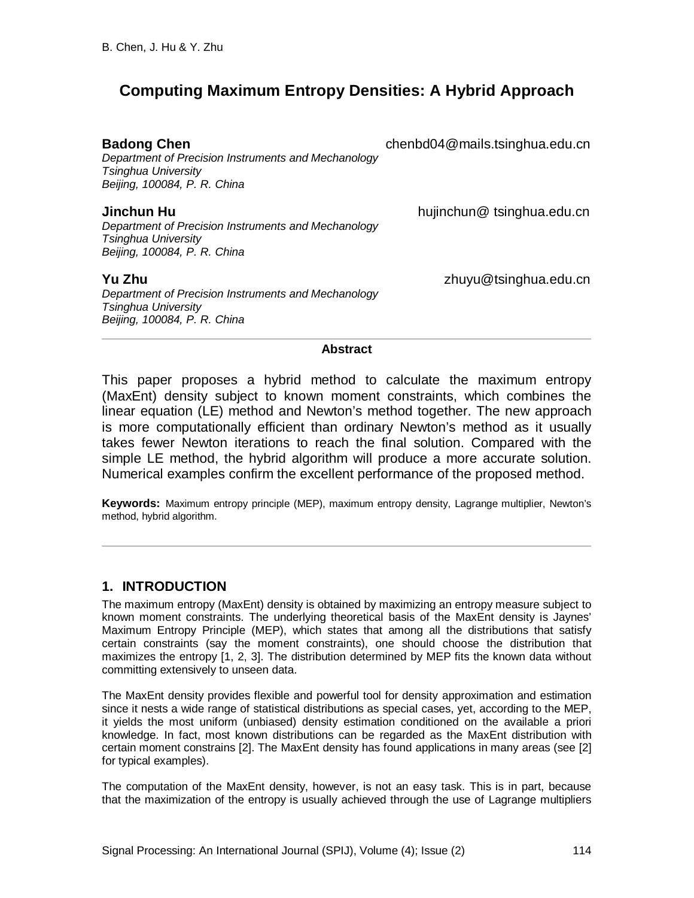# **Computing Maximum Entropy Densities: A Hybrid Approach**

*Department of Precision Instruments and Mechanology Tsinghua University Beijing, 100084, P. R. China*

*Department of Precision Instruments and Mechanology Tsinghua University Beijing, 100084, P. R. China*

*Department of Precision Instruments and Mechanology Tsinghua University Beijing, 100084, P. R. China*

**Badong Chen** chenbd04@mails.tsinghua.edu.cn

**Jinchun Hu** hujinchun@ tsinghua.edu.cn

**Yu Zhu** zhuyu@tsinghua.edu.cn

#### **Abstract**

This paper proposes a hybrid method to calculate the maximum entropy (MaxEnt) density subject to known moment constraints, which combines the linear equation (LE) method and Newton's method together. The new approach is more computationally efficient than ordinary Newton's method as it usually takes fewer Newton iterations to reach the final solution. Compared with the simple LE method, the hybrid algorithm will produce a more accurate solution. Numerical examples confirm the excellent performance of the proposed method.

**Keywords:** Maximum entropy principle (MEP), maximum entropy density, Lagrange multiplier, Newton's method, hybrid algorithm.

### **1. INTRODUCTION**

The maximum entropy (MaxEnt) density is obtained by maximizing an entropy measure subject to known moment constraints. The underlying theoretical basis of the MaxEnt density is Jaynes' Maximum Entropy Principle (MEP), which states that among all the distributions that satisfy certain constraints (say the moment constraints), one should choose the distribution that maximizes the entropy [1, 2, 3]. The distribution determined by MEP fits the known data without committing extensively to unseen data.

The MaxEnt density provides flexible and powerful tool for density approximation and estimation since it nests a wide range of statistical distributions as special cases, yet, according to the MEP, it yields the most uniform (unbiased) density estimation conditioned on the available a priori knowledge. In fact, most known distributions can be regarded as the MaxEnt distribution with certain moment constrains [2]. The MaxEnt density has found applications in many areas (see [2] for typical examples).

The computation of the MaxEnt density, however, is not an easy task. This is in part, because that the maximization of the entropy is usually achieved through the use of Lagrange multipliers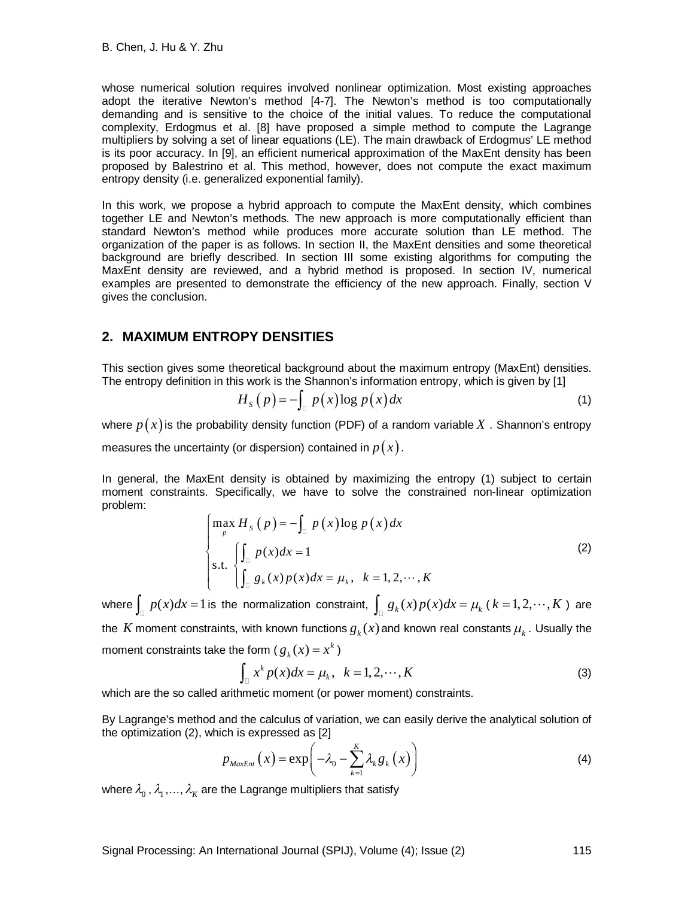whose numerical solution requires involved nonlinear optimization. Most existing approaches adopt the iterative Newton's method [4-7]. The Newton's method is too computationally demanding and is sensitive to the choice of the initial values. To reduce the computational complexity, Erdogmus et al. [8] have proposed a simple method to compute the Lagrange multipliers by solving a set of linear equations (LE). The main drawback of Erdogmus' LE method is its poor accuracy. In [9], an efficient numerical approximation of the MaxEnt density has been proposed by Balestrino et al. This method, however, does not compute the exact maximum entropy density (i.e. generalized exponential family).

In this work, we propose a hybrid approach to compute the MaxEnt density, which combines together LE and Newton's methods. The new approach is more computationally efficient than standard Newton's method while produces more accurate solution than LE method. The organization of the paper is as follows. In section II, the MaxEnt densities and some theoretical background are briefly described. In section III some existing algorithms for computing the MaxEnt density are reviewed, and a hybrid method is proposed. In section IV, numerical examples are presented to demonstrate the efficiency of the new approach. Finally, section V gives the conclusion.

### **2. MAXIMUM ENTROPY DENSITIES**

This section gives some theoretical background about the maximum entropy (MaxEnt) densities. The entropy definition in this work is the Shannon's information entropy, which is given by [1]

$$
H_{S}(p) = -\int_{\square} p(x) \log p(x) dx \tag{1}
$$

where  $p(x)$  is the probability density function (PDF) of a random variable X . Shannon's entropy

measures the uncertainty (or dispersion) contained in  $p(x)$ .

In general, the MaxEnt density is obtained by maximizing the entropy (1) subject to certain moment constraints. Specifically, we have to solve the constrained non-linear optimization problem:

$$
\begin{cases}\n\max_{p} H_{s}(p) = -\int_{\mathbb{D}} p(x) \log p(x) dx \\
\text{s.t. } \begin{cases}\n\int_{\mathbb{D}} p(x) dx = 1 \\
\int_{\mathbb{D}} g_{k}(x) p(x) dx = \mu_{k}, & k = 1, 2, \dots, K\n\end{cases}\n\end{cases}
$$
\n(2)

where  $\int_{\Box} p(x)dx = 1$  is the normalization constraint,  $\int_{\Box} g_k(x)p(x)dx = \mu_k$  (  $k = 1, 2, \cdots, K$  ) are the  $\,$  moment constraints, with known functions  $\overline{g}_k(x)$  and known real constants  $\mu_k^{}$  . Usually the moment constraints take the form (  $g_k^{}(x)$   $=$   $x^k$  )

$$
\int_{\mathbb{Q}} x^k p(x) dx = \mu_k, \quad k = 1, 2, \cdots, K
$$
 (3)

which are the so called arithmetic moment (or power moment) constraints.

By Lagrange's method and the calculus of variation, we can easily derive the analytical solution of the optimization (2), which is expressed as [2]

$$
p_{MaxEnt}\left(x\right) = \exp\biggl(-\lambda_0 - \sum_{k=1}^{K} \lambda_k g_k\left(x\right)\biggr) \tag{4}
$$

where  $\lambda_{_{0}}$  ,  $\lambda_{_{1}}$  , …,  $\lambda_{_{K}}$  are the Lagrange multipliers that satisfy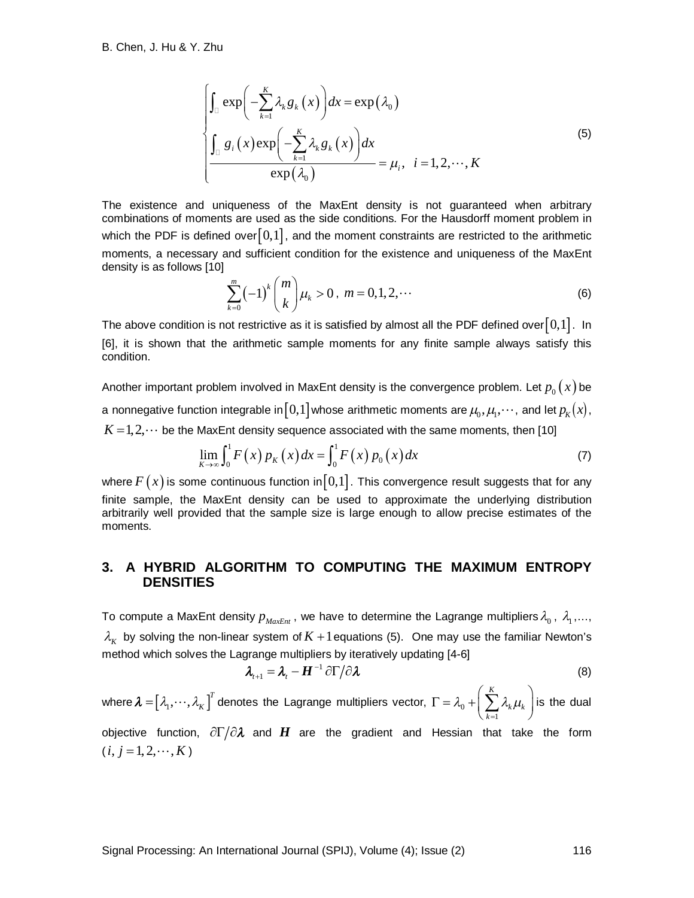$$
\int_{\mathbb{D}} \exp\left(-\sum_{k=1}^{K} \lambda_{k} g_{k}(x)\right) dx = \exp\left(\lambda_{0}\right)
$$
\n
$$
\int_{\mathbb{D}} g_{i}(x) \exp\left(-\sum_{k=1}^{K} \lambda_{k} g_{k}(x)\right) dx
$$
\n
$$
\exp\left(\lambda_{0}\right)
$$
\n(5)

The existence and uniqueness of the MaxEnt density is not guaranteed when arbitrary combinations of moments are used as the side conditions. For the Hausdorff moment problem in which the PDF is defined over $\lfloor0,1\rfloor$ , and the moment constraints are restricted to the arithmetic moments, a necessary and sufficient condition for the existence and uniqueness of the MaxEnt density is as follows [10]

$$
\sum_{k=0}^{m} (-1)^{k} {m \choose k} \mu_{k} > 0, \ m = 0, 1, 2, \cdots
$$
 (6)

The above condition is not restrictive as it is satisfied by almost all the PDF defined over  $[0,1]$ . In [6], it is shown that the arithmetic sample moments for any finite sample always satisfy this condition.

Another important problem involved in MaxEnt density is the convergence problem. Let  $p_0(x)$  be a nonnegative function integrable in $\llbracket 0,1 \rrbracket$  whose arithmetic moments are  $\mu_{\!0}, \mu_{\!1}, \cdots$  , and let  $p_{\scriptscriptstyle K}(x)$  ,  $K = 1, 2, \dots$  be the MaxEnt density sequence associated with the same moments, then [10]

$$
\lim_{K \to \infty} \int_0^1 F(x) p_K(x) dx = \int_0^1 F(x) p_0(x) dx
$$
 (7)

where  $F(x)$  is some continuous function in [0,1]. This convergence result suggests that for any finite sample, the MaxEnt density can be used to approximate the underlying distribution arbitrarily well provided that the sample size is large enough to allow precise estimates of the moments.

#### **3. A HYBRID ALGORITHM TO COMPUTING THE MAXIMUM ENTROPY DENSITIES**

To compute a MaxEnt density  $p_{_{MaxEnt}}$  , we have to determine the Lagrange multipliers  $\lambda_{_0}$  ,  $\lambda_{_1}$  ,…,  $\lambda_{\scriptscriptstyle{K}}$  by solving the non-linear system of  $K+1$  equations (5). One may use the familiar Newton's method which solves the Lagrange multipliers by iteratively updating [4-6]

$$
\lambda_{t+1} = \lambda_t - \mathbf{H}^{-1} \partial \Gamma / \partial \lambda \tag{8}
$$

where  $\bm{\lambda} = \bigr[\lambda_{\!\scriptscriptstyle 1},\cdots,\lambda_{\!\scriptscriptstyle K}\bigr]^T$  denotes the Lagrange multipliers vector,  $\Gamma = \lambda_{\scriptscriptstyle 0}$ 1 *K k k k*  $\lambda_{0} + \sum_{k} \lambda_{k} \mu_{k}$  $\Gamma = \lambda_0 + \left(\sum_{k=1}^K \lambda_k \mu_k\right)$  is the dual

objective function,  $\partial \Gamma / \partial \lambda$  and *H* are the gradient and Hessian that take the form  $(i, j = 1, 2, \cdots, K)$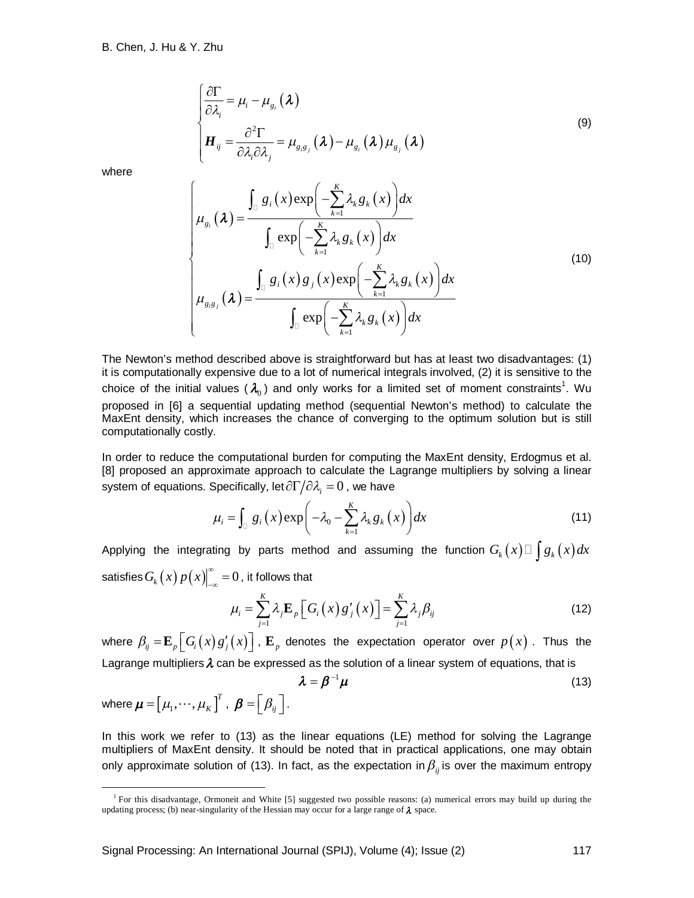$$
\begin{cases}\n\frac{\partial \Gamma}{\partial \lambda_i} = \mu_i - \mu_{g_i}(\boldsymbol{\lambda}) \\
H_{ij} = \frac{\partial^2 \Gamma}{\partial \lambda_i \partial \lambda_j} = \mu_{g_i g_j}(\boldsymbol{\lambda}) - \mu_{g_i}(\boldsymbol{\lambda}) \mu_{g_j}(\boldsymbol{\lambda})\n\end{cases}
$$
\n(9)

where

 $\overline{a}$ 

$$
\mu_{g_i}(\lambda) = \frac{\int_{\square} g_i(x) \exp\left(-\sum_{k=1}^K \lambda_k g_k(x)\right) dx}{\int_{\square} \exp\left(-\sum_{k=1}^K \lambda_k g_k(x)\right) dx}
$$
\n
$$
\mu_{g_i g_j}(\lambda) = \frac{\int_{\square} g_i(x) g_j(x) \exp\left(-\sum_{k=1}^K \lambda_k g_k(x)\right) dx}{\int_{\square} \exp\left(-\sum_{k=1}^K \lambda_k g_k(x)\right) dx}
$$
\n(10)

The Newton's method described above is straightforward but has at least two disadvantages: (1) it is computationally expensive due to a lot of numerical integrals involved, (2) it is sensitive to the choice of the initial values (  $\lambda_{\text{o}}$  ) and only works for a limited set of moment constraints<sup>1</sup>. Wu proposed in [6] a sequential updating method (sequential Newton's method) to calculate the MaxEnt density, which increases the chance of converging to the optimum solution but is still computationally costly.

In order to reduce the computational burden for computing the MaxEnt density, Erdogmus et al. [8] proposed an approximate approach to calculate the Lagrange multipliers by solving a linear system of equations. Specifically, let  $\partial \Gamma/\partial \lambda_{_{\!i}}=0$  , we have

$$
\mu_{i} = \int_{\mathbb{D}} g_{i}(x) \exp\left(-\lambda_{0} - \sum_{k=1}^{K} \lambda_{k} g_{k}(x)\right) dx \tag{11}
$$

Applying the integrating by parts method and assuming the function  $G_{_k}\big(x\big) \Box \int g_{_k}\big(x\big) dx$ satisfies  $G_k(x)p(x)\big|_{-\infty}^{\infty}=0$  $\int_{-\infty}^{\infty}$  =  $0$  , it follows that

$$
\mu_{i} = \sum_{j=1}^{K} \lambda_{j} \mathbf{E}_{p} \left[ G_{i} \left( x \right) g'_{j} \left( x \right) \right] = \sum_{j=1}^{K} \lambda_{j} \beta_{ij} \tag{12}
$$

where  $\beta_{ij} = \mathbf{E}_p \big[ G_i(x) g'_j(x) \big]$  ,  $\mathbf{E}_p$  denotes the expectation operator over  $p(x)$  . Thus the Lagrange multipliers  $\lambda$  can be expressed as the solution of a linear system of equations, that is

$$
\boldsymbol{\lambda} = \boldsymbol{\beta}^{-1} \boldsymbol{\mu}
$$
\nwhere  $\boldsymbol{\mu} = [\mu_1, \dots, \mu_K]^T$ ,  $\boldsymbol{\beta} = [\beta_{ij}]$ .

\n(13)

In this work we refer to (13) as the linear equations (LE) method for solving the Lagrange multipliers of MaxEnt density. It should be noted that in practical applications, one may obtain only approximate solution of (13). In fact, as the expectation in  $\beta_{ii}$  is over the maximum entropy

<sup>&</sup>lt;sup>1</sup> For this disadvantage, Ormoneit and White [5] suggested two possible reasons: (a) numerical errors may build up during the updating process; (b) near-singularity of the Hessian may occur for a large range of  $\lambda$  space.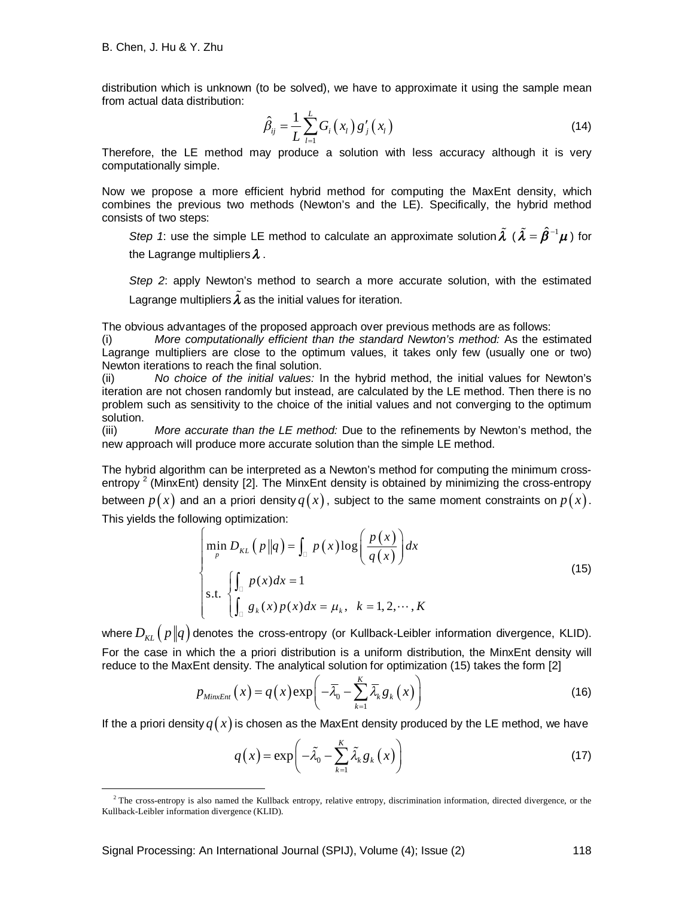distribution which is unknown (to be solved), we have to approximate it using the sample mean from actual data distribution:

$$
\hat{\beta}_{ij} = \frac{1}{L} \sum_{l=1}^{L} G_i(x_l) g'_j(x_l)
$$
\n(14)

Therefore, the LE method may produce a solution with less accuracy although it is very computationally simple.

Now we propose a more efficient hybrid method for computing the MaxEnt density, which combines the previous two methods (Newton's and the LE). Specifically, the hybrid method consists of two steps:

*Step 1*: use the simple LE method to calculate an approximate solution  $\tilde{\lambda}$  (  $\tilde{\lambda} = \hat{\beta}^{-1}\mu$  ) for the Lagrange multipliers  $\lambda$ .

*Step 2*: apply Newton's method to search a more accurate solution, with the estimated Lagrange multipliers  $\tilde{\lambda}$  as the initial values for iteration.

The obvious advantages of the proposed approach over previous methods are as follows:

(i) *More computationally efficient than the standard Newton's method:* As the estimated Lagrange multipliers are close to the optimum values, it takes only few (usually one or two) Newton iterations to reach the final solution.

(ii) *No choice of the initial values:* In the hybrid method, the initial values for Newton's iteration are not chosen randomly but instead, are calculated by the LE method. Then there is no problem such as sensitivity to the choice of the initial values and not converging to the optimum solution.

(iii) *More accurate than the LE method:* Due to the refinements by Newton's method, the new approach will produce more accurate solution than the simple LE method.

The hybrid algorithm can be interpreted as a Newton's method for computing the minimum crossentropy<sup>2</sup> (MinxEnt) density [2]. The MinxEnt density is obtained by minimizing the cross-entropy between  $p(x)$  and an a priori density  $q(x)$ , subject to the same moment constraints on  $p(x)$ . This yields the following optimization:

$$
\begin{cases}\n\min_{p} D_{KL} \left( p \| q \right) = \int_{\mathbb{D}} p(x) \log \left( \frac{p(x)}{q(x)} \right) dx \\
\text{s.t. } \begin{cases}\n\int_{\mathbb{D}} p(x) dx = 1 \\
\int_{\mathbb{D}} g_k(x) p(x) dx = \mu_k, & k = 1, 2, \dots, K\n\end{cases}\n\end{cases}
$$
\n(15)

where  $D_{\kappa L}$   $\left( p \Vert q \right)$  denotes the cross-entropy (or Kullback-Leibler information divergence, KLID). For the case in which the a priori distribution is a uniform distribution, the MinxEnt density will reduce to the MaxEnt density. The analytical solution for optimization (15) takes the form [2]

$$
p_{MinxEnt}\left(x\right) = q\left(x\right) \exp\left(-\overline{\lambda}_{0} - \sum_{k=1}^{K} \overline{\lambda}_{k} g_{k}\left(x\right)\right) \tag{16}
$$

If the a priori density  $q(x)$  is chosen as the MaxEnt density produced by the LE method, we have

$$
q(x) = \exp\left(-\tilde{\lambda}_0 - \sum_{k=1}^{K} \tilde{\lambda}_k g_k(x)\right)
$$
 (17)

 $\overline{a}$  $2$ <sup>2</sup> The cross-entropy is also named the Kullback entropy, relative entropy, discrimination information, directed divergence, or the Kullback-Leibler information divergence (KLID).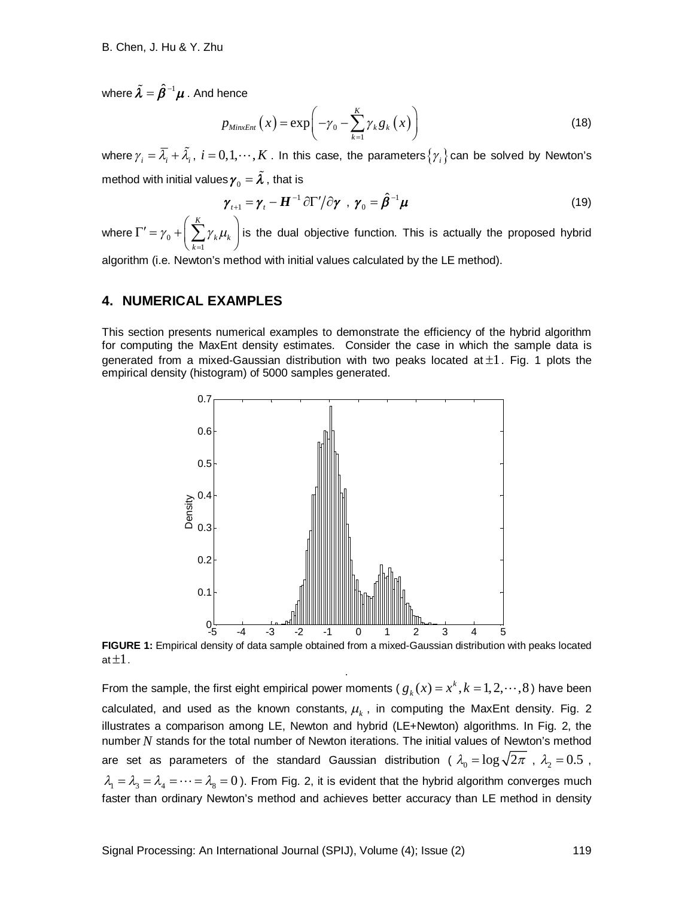where  $\tilde{\boldsymbol{\lambda}}=\hat{\boldsymbol{\beta}}^{-1}\boldsymbol{\mu}$  . And hence

$$
p_{MinxEnt}\left(x\right) = \exp\biggl(-\gamma_0 - \sum_{k=1}^K \gamma_k g_k\left(x\right)\biggr) \tag{18}
$$

where  $\gamma_i=\bar{\lambda_i}+\tilde{\lambda_i}$ ,  $i=0,1,\cdots,K$  . In this case, the parameters  $\{\gamma_i\}$  can be solved by Newton's method with initial values  $\pmb{\gamma}_0 = \pmb{\widetilde{\lambda}}$  , that is

$$
\gamma_{t+1} = \gamma_t - \boldsymbol{H}^{-1} \partial \Gamma'/\partial \gamma \ , \ \gamma_0 = \hat{\boldsymbol{\beta}}^{-1} \boldsymbol{\mu}
$$
 (19)

where  $\Gamma^\prime$  =  $\gamma_{_0}$ 1 *K k k k*  $\gamma_0 + \sum_{k} \gamma_k \mu_k$ =  $\Gamma' = \gamma_0 + \left(\sum_{k=1}^K \gamma_k \mu_k\right)$  is the dual objective function. This is actually the proposed hybrid

algorithm (i.e. Newton's method with initial values calculated by the LE method).

#### **4. NUMERICAL EXAMPLES**

This section presents numerical examples to demonstrate the efficiency of the hybrid algorithm for computing the MaxEnt density estimates. Consider the case in which the sample data is generated from a mixed-Gaussian distribution with two peaks located at  $\pm 1$ . Fig. 1 plots the empirical density (histogram) of 5000 samples generated.



**FIGURE 1:** Empirical density of data sample obtained from a mixed-Gaussian distribution with peaks located at  $\pm 1$  . .

From the sample, the first eight empirical power moments ( $g_k(x) = x^k, k = 1, 2, \dots, 8$ ) have been calculated, and used as the known constants,  $\mu_{\scriptscriptstyle{k}}$  , in computing the MaxEnt density. Fig. 2 illustrates a comparison among LE, Newton and hybrid (LE+Newton) algorithms. In Fig. 2, the number *N* stands for the total number of Newton iterations. The initial values of Newton's method are set as parameters of the standard Gaussian distribution (  $\lambda_{\text{0}} = \log \sqrt{2\pi}$  ,  $\lambda_{\text{2}} = 0.5$  ,  $\lambda_1 = \lambda_3 = \lambda_4 = \cdots = \lambda_8 = 0$ ). From Fig. 2, it is evident that the hybrid algorithm converges much faster than ordinary Newton's method and achieves better accuracy than LE method in density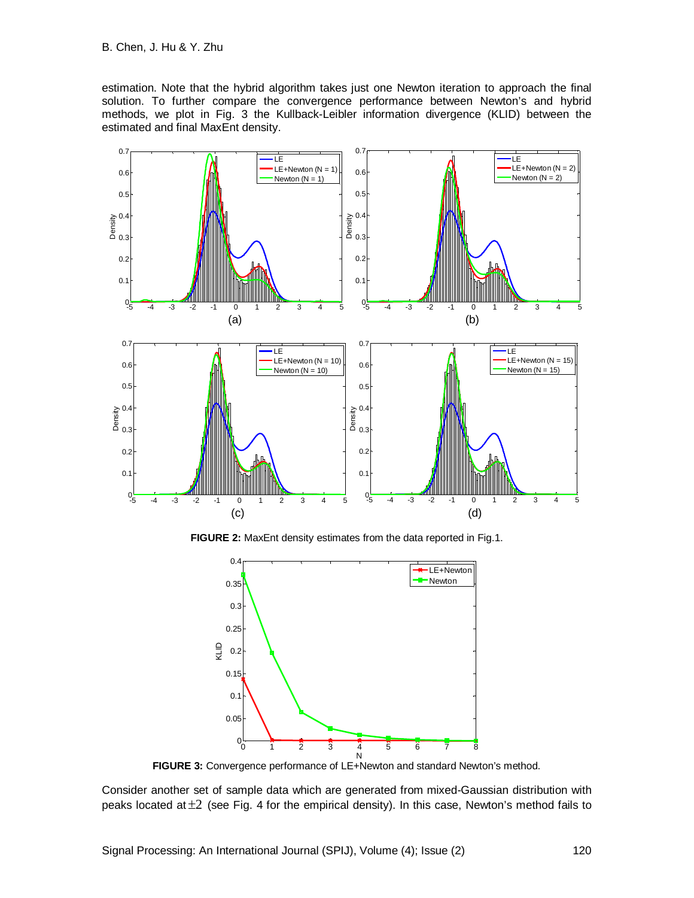estimation. Note that the hybrid algorithm takes just one Newton iteration to approach the final solution. To further compare the convergence performance between Newton's and hybrid methods, we plot in Fig. 3 the Kullback-Leibler information divergence (KLID) between the estimated and final MaxEnt density.



**FIGURE 2:** MaxEnt density estimates from the data reported in Fig.1.



**FIGURE 3:** Convergence performance of LE+Newton and standard Newton's method.

Consider another set of sample data which are generated from mixed-Gaussian distribution with peaks located at  $\pm 2$  (see Fig. 4 for the empirical density). In this case, Newton's method fails to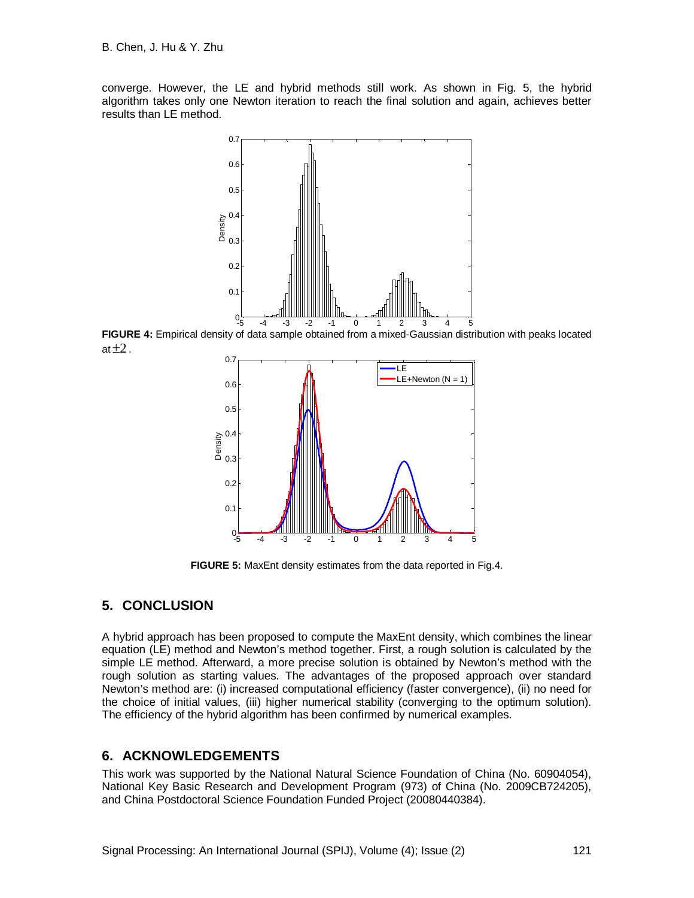converge. However, the LE and hybrid methods still work. As shown in Fig. 5, the hybrid algorithm takes only one Newton iteration to reach the final solution and again, achieves better results than LE method.



**FIGURE 4:** Empirical density of data sample obtained from a mixed-Gaussian distribution with peaks located at  $\pm 2$ .



**FIGURE 5:** MaxEnt density estimates from the data reported in Fig.4.

## **5. CONCLUSION**

A hybrid approach has been proposed to compute the MaxEnt density, which combines the linear equation (LE) method and Newton's method together. First, a rough solution is calculated by the simple LE method. Afterward, a more precise solution is obtained by Newton's method with the rough solution as starting values. The advantages of the proposed approach over standard Newton's method are: (i) increased computational efficiency (faster convergence), (ii) no need for the choice of initial values, (iii) higher numerical stability (converging to the optimum solution). The efficiency of the hybrid algorithm has been confirmed by numerical examples.

### **6. ACKNOWLEDGEMENTS**

This work was supported by the National Natural Science Foundation of China (No. 60904054), National Key Basic Research and Development Program (973) of China (No. 2009CB724205), and China Postdoctoral Science Foundation Funded Project (20080440384).